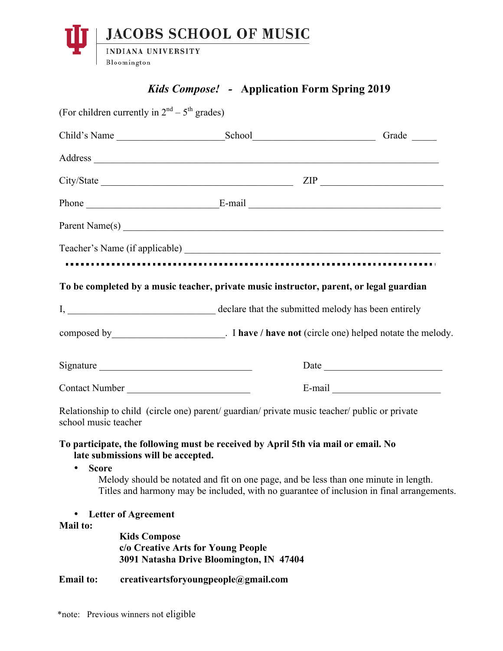

## *Kids Compose! -* **Application Form Spring 2019**

|                      | (For children currently in $2nd - 5th$ grades)                                                                                                                                    |                                          |  |  |
|----------------------|-----------------------------------------------------------------------------------------------------------------------------------------------------------------------------------|------------------------------------------|--|--|
|                      |                                                                                                                                                                                   |                                          |  |  |
|                      |                                                                                                                                                                                   |                                          |  |  |
|                      |                                                                                                                                                                                   |                                          |  |  |
|                      |                                                                                                                                                                                   |                                          |  |  |
|                      |                                                                                                                                                                                   |                                          |  |  |
|                      |                                                                                                                                                                                   |                                          |  |  |
|                      |                                                                                                                                                                                   |                                          |  |  |
|                      | To be completed by a music teacher, private music instructor, parent, or legal guardian                                                                                           |                                          |  |  |
|                      |                                                                                                                                                                                   |                                          |  |  |
|                      |                                                                                                                                                                                   |                                          |  |  |
| Signature            |                                                                                                                                                                                   |                                          |  |  |
| Contact Number       |                                                                                                                                                                                   |                                          |  |  |
| school music teacher | Relationship to child (circle one) parent/ guardian/ private music teacher/ public or private                                                                                     |                                          |  |  |
|                      | To participate, the following must be received by April 5th via mail or email. No<br>late submissions will be accepted.                                                           |                                          |  |  |
| • Score              | Melody should be notated and fit on one page, and be less than one minute in length.<br>Titles and harmony may be included, with no guarantee of inclusion in final arrangements. |                                          |  |  |
| <b>Mail to:</b>      | <b>Letter of Agreement</b>                                                                                                                                                        |                                          |  |  |
|                      | <b>Kids Compose</b><br>c/o Creative Arts for Young People                                                                                                                         | 3091 Natasha Drive Bloomington, IN 47404 |  |  |
| <b>Email</b> to:     | creativeartsforyoungpeople@gmail.com                                                                                                                                              |                                          |  |  |